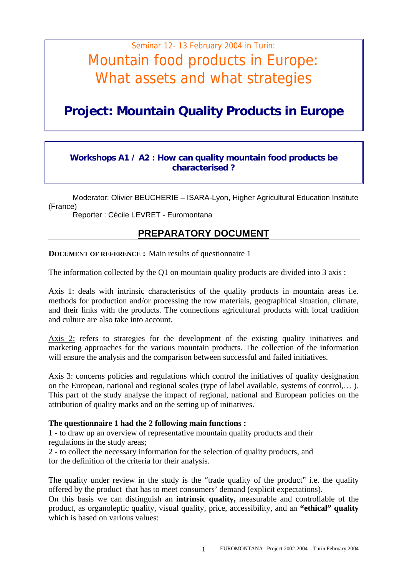# Seminar 12- 13 February 2004 in Turin: Mountain food products in Europe: What assets and what strategies

## **Project: Mountain Quality Products in Europe**

#### **Workshops A1 / A2 : How can quality mountain food products be characterised ?**

Moderator: Olivier BEUCHERIE – ISARA-Lyon, Higher Agricultural Education Institute (France)

Reporter : Cécile LEVRET - Euromontana

### **PREPARATORY DOCUMENT**

**DOCUMENT OF REFERENCE :** Main results of questionnaire 1

The information collected by the Q1 on mountain quality products are divided into 3 axis :

Axis 1: deals with intrinsic characteristics of the quality products in mountain areas i.e. methods for production and/or processing the row materials, geographical situation, climate, and their links with the products. The connections agricultural products with local tradition and culture are also take into account.

Axis 2: refers to strategies for the development of the existing quality initiatives and marketing approaches for the various mountain products. The collection of the information will ensure the analysis and the comparison between successful and failed initiatives.

Axis 3: concerns policies and regulations which control the initiatives of quality designation on the European, national and regional scales (type of label available, systems of control,… ). This part of the study analyse the impact of regional, national and European policies on the attribution of quality marks and on the setting up of initiatives.

#### **The questionnaire 1 had the 2 following main functions :**

1 - to draw up an overview of representative mountain quality products and their regulations in the study areas;

2 - to collect the necessary information for the selection of quality products, and for the definition of the criteria for their analysis.

The quality under review in the study is the "trade quality of the product" i.e. the quality offered by the product that has to meet consumers' demand (explicit expectations).

On this basis we can distinguish an **intrinsic quality,** measurable and controllable of the product, as organoleptic quality, visual quality, price, accessibility, and an **"ethical" quality** which is based on various values: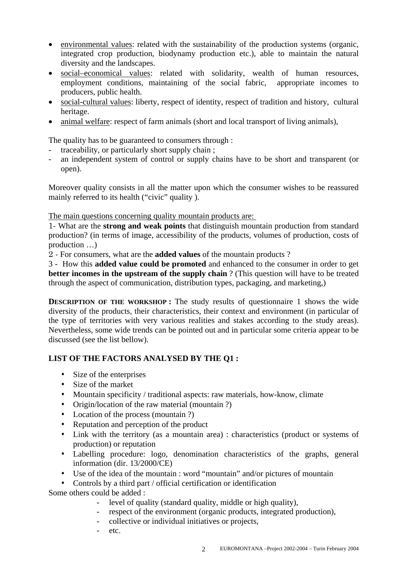- environmental values: related with the sustainability of the production systems (organic, integrated crop production, biodynamy production etc.), able to maintain the natural diversity and the landscapes.
- social–economical values: related with solidarity, wealth of human resources, employment conditions, maintaining of the social fabric, appropriate incomes to producers, public health.
- social-cultural values: liberty, respect of identity, respect of tradition and history, cultural heritage.
- animal welfare: respect of farm animals (short and local transport of living animals),

The quality has to be guaranteed to consumers through :

- traceability, or particularly short supply chain;
- an independent system of control or supply chains have to be short and transparent (or open).

Moreover quality consists in all the matter upon which the consumer wishes to be reassured mainly referred to its health ("civic" quality ).

The main questions concerning quality mountain products are:

1- What are the **strong and weak points** that distinguish mountain production from standard production? (in terms of image, accessibility of the products, volumes of production, costs of production …)

2 - For consumers, what are the **added values** of the mountain products ?

3 - How this **added value could be promoted** and enhanced to the consumer in order to get **better incomes in the upstream of the supply chain** ? (This question will have to be treated through the aspect of communication, distribution types, packaging, and marketing,)

**DESCRIPTION OF THE WORKSHOP :** The study results of questionnaire 1 shows the wide diversity of the products, their characteristics, their context and environment (in particular of the type of territories with very various realities and stakes according to the study areas). Nevertheless, some wide trends can be pointed out and in particular some criteria appear to be discussed (see the list bellow).

#### **LIST OF THE FACTORS ANALYSED BY THE Q1 :**

- Size of the enterprises
- Size of the market
- Mountain specificity / traditional aspects: raw materials, how-know, climate
- Origin/location of the raw material (mountain ?)
- Location of the process (mountain ?)
- Reputation and perception of the product
- Link with the territory (as a mountain area) : characteristics (product or systems of production) or reputation
- Labelling procedure: logo, denomination characteristics of the graphs, general information (dir. 13/2000/CE)
- Use of the idea of the mountain : word "mountain" and/or pictures of mountain
- Controls by a third part / official certification or identification

Some others could be added :

- level of quality (standard quality, middle or high quality),
- respect of the environment (organic products, integrated production),
- collective or individual initiatives or projects,
- etc.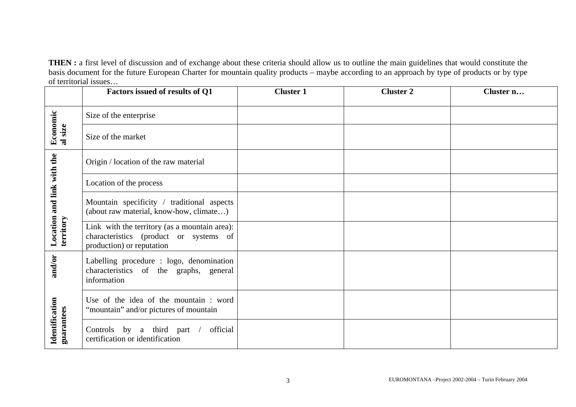**THEN :** a first level of discussion and of exchange about these criteria should allow us to outline the main guidelines that would constitute the basis document for the future European Charter for mountain quality products – maybe according to an approach by type of products or by type of territorial issues…

|                                         | Factors issued of results of Q1                                                                                      | <b>Cluster 1</b> | <b>Cluster 2</b> | Cluster n |
|-----------------------------------------|----------------------------------------------------------------------------------------------------------------------|------------------|------------------|-----------|
|                                         | Size of the enterprise                                                                                               |                  |                  |           |
| Economic<br>al size                     | Size of the market                                                                                                   |                  |                  |           |
| Location and link with the<br>territory | Origin / location of the raw material                                                                                |                  |                  |           |
|                                         | Location of the process                                                                                              |                  |                  |           |
|                                         | Mountain specificity / traditional aspects<br>(about raw material, know-how, climate)                                |                  |                  |           |
|                                         | Link with the territory (as a mountain area):<br>characteristics (product or systems of<br>production) or reputation |                  |                  |           |
| and/or<br>Identification<br>guarantees  | Labelling procedure : logo, denomination<br>characteristics of the graphs, general<br>information                    |                  |                  |           |
|                                         | Use of the idea of the mountain: word<br>"mountain" and/or pictures of mountain                                      |                  |                  |           |
|                                         | Controls by a third part /<br>official<br>certification or identification                                            |                  |                  |           |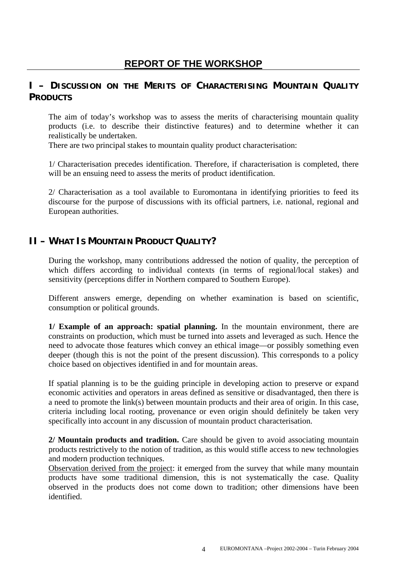## **I – DISCUSSION ON THE MERITS OF CHARACTERISING MOUNTAIN QUALITY PRODUCTS**

The aim of today's workshop was to assess the merits of characterising mountain quality products (i.e. to describe their distinctive features) and to determine whether it can realistically be undertaken.

There are two principal stakes to mountain quality product characterisation:

1/ Characterisation precedes identification. Therefore, if characterisation is completed, there will be an ensuing need to assess the merits of product identification.

2/ Characterisation as a tool available to Euromontana in identifying priorities to feed its discourse for the purpose of discussions with its official partners, i.e. national, regional and European authorities.

## **II – WHAT IS MOUNTAIN PRODUCT QUALITY?**

During the workshop, many contributions addressed the notion of quality, the perception of which differs according to individual contexts (in terms of regional/local stakes) and sensitivity (perceptions differ in Northern compared to Southern Europe).

Different answers emerge, depending on whether examination is based on scientific, consumption or political grounds.

**1/ Example of an approach: spatial planning.** In the mountain environment, there are constraints on production, which must be turned into assets and leveraged as such. Hence the need to advocate those features which convey an ethical image—or possibly something even deeper (though this is not the point of the present discussion). This corresponds to a policy choice based on objectives identified in and for mountain areas.

If spatial planning is to be the guiding principle in developing action to preserve or expand economic activities and operators in areas defined as sensitive or disadvantaged, then there is a need to promote the link(s) between mountain products and their area of origin. In this case, criteria including local rooting, provenance or even origin should definitely be taken very specifically into account in any discussion of mountain product characterisation.

**2/ Mountain products and tradition.** Care should be given to avoid associating mountain products restrictively to the notion of tradition, as this would stifle access to new technologies and modern production techniques.

Observation derived from the project: it emerged from the survey that while many mountain products have some traditional dimension, this is not systematically the case. Quality observed in the products does not come down to tradition; other dimensions have been identified.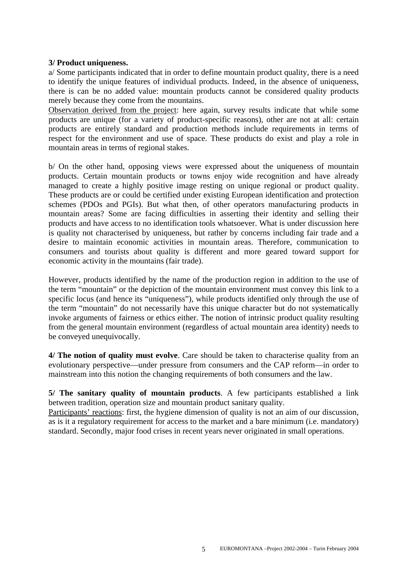#### **3/ Product uniqueness.**

a/ Some participants indicated that in order to define mountain product quality, there is a need to identify the unique features of individual products. Indeed, in the absence of uniqueness, there is can be no added value: mountain products cannot be considered quality products merely because they come from the mountains.

Observation derived from the project: here again, survey results indicate that while some products are unique (for a variety of product-specific reasons), other are not at all: certain products are entirely standard and production methods include requirements in terms of respect for the environment and use of space. These products do exist and play a role in mountain areas in terms of regional stakes.

b/ On the other hand, opposing views were expressed about the uniqueness of mountain products. Certain mountain products or towns enjoy wide recognition and have already managed to create a highly positive image resting on unique regional or product quality. These products are or could be certified under existing European identification and protection schemes (PDOs and PGIs). But what then, of other operators manufacturing products in mountain areas? Some are facing difficulties in asserting their identity and selling their products and have access to no identification tools whatsoever. What is under discussion here is quality not characterised by uniqueness, but rather by concerns including fair trade and a desire to maintain economic activities in mountain areas. Therefore, communication to consumers and tourists about quality is different and more geared toward support for economic activity in the mountains (fair trade).

However, products identified by the name of the production region in addition to the use of the term "mountain" or the depiction of the mountain environment must convey this link to a specific locus (and hence its "uniqueness"), while products identified only through the use of the term "mountain" do not necessarily have this unique character but do not systematically invoke arguments of fairness or ethics either. The notion of intrinsic product quality resulting from the general mountain environment (regardless of actual mountain area identity) needs to be conveyed unequivocally.

**4/ The notion of quality must evolve**. Care should be taken to characterise quality from an evolutionary perspective—under pressure from consumers and the CAP reform—in order to mainstream into this notion the changing requirements of both consumers and the law.

**5/ The sanitary quality of mountain products**. A few participants established a link between tradition, operation size and mountain product sanitary quality.

Participants' reactions: first, the hygiene dimension of quality is not an aim of our discussion, as is it a regulatory requirement for access to the market and a bare minimum (i.e. mandatory) standard. Secondly, major food crises in recent years never originated in small operations.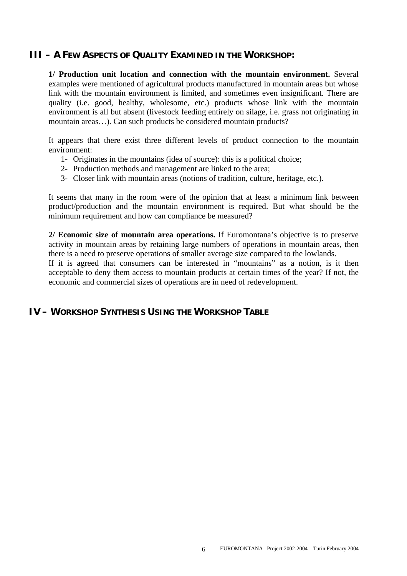#### **III – A FEW ASPECTS OF QUALITY EXAMINED IN THE WORKSHOP:**

**1/ Production unit location and connection with the mountain environment.** Several examples were mentioned of agricultural products manufactured in mountain areas but whose link with the mountain environment is limited, and sometimes even insignificant. There are quality (i.e. good, healthy, wholesome, etc.) products whose link with the mountain environment is all but absent (livestock feeding entirely on silage, i.e. grass not originating in mountain areas…). Can such products be considered mountain products?

It appears that there exist three different levels of product connection to the mountain environment:

- 1- Originates in the mountains (idea of source): this is a political choice;
- 2- Production methods and management are linked to the area;
- 3- Closer link with mountain areas (notions of tradition, culture, heritage, etc.).

It seems that many in the room were of the opinion that at least a minimum link between product/production and the mountain environment is required. But what should be the minimum requirement and how can compliance be measured?

**2/ Economic size of mountain area operations.** If Euromontana's objective is to preserve activity in mountain areas by retaining large numbers of operations in mountain areas, then there is a need to preserve operations of smaller average size compared to the lowlands.

If it is agreed that consumers can be interested in "mountains" as a notion, is it then acceptable to deny them access to mountain products at certain times of the year? If not, the economic and commercial sizes of operations are in need of redevelopment.

#### **IV – WORKSHOP SYNTHESIS USING THE WORKSHOP TABLE**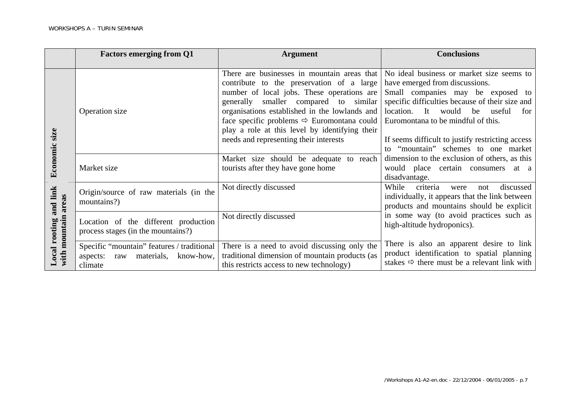|                                                  | <b>Factors emerging from Q1</b><br><b>Argument</b>                                               |                                                                                                                                                                                                                                                                                                                                                                                        | <b>Conclusions</b>                                                                                                                                                                                                                                                                                   |  |
|--------------------------------------------------|--------------------------------------------------------------------------------------------------|----------------------------------------------------------------------------------------------------------------------------------------------------------------------------------------------------------------------------------------------------------------------------------------------------------------------------------------------------------------------------------------|------------------------------------------------------------------------------------------------------------------------------------------------------------------------------------------------------------------------------------------------------------------------------------------------------|--|
|                                                  |                                                                                                  |                                                                                                                                                                                                                                                                                                                                                                                        |                                                                                                                                                                                                                                                                                                      |  |
| Economic size                                    | Operation size                                                                                   | There are businesses in mountain areas that<br>contribute to the preservation of a large<br>number of local jobs. These operations are<br>generally smaller compared to similar<br>organisations established in the lowlands and<br>face specific problems $\Rightarrow$ Euromontana could<br>play a role at this level by identifying their<br>needs and representing their interests | No ideal business or market size seems to<br>have emerged from discussions.<br>Small companies may be exposed to<br>specific difficulties because of their size and<br>location. It would be useful<br>for<br>Euromontana to be mindful of this.<br>If seems difficult to justify restricting access |  |
|                                                  | Market size                                                                                      | Market size should be adequate to reach<br>tourists after they have gone home                                                                                                                                                                                                                                                                                                          | to "mountain" schemes to one market<br>dimension to the exclusion of others, as this<br>would place certain consumers at a<br>disadvantage.                                                                                                                                                          |  |
| and link<br>with mountain areas<br>Local rooting | Origin/source of raw materials (in the<br>mountains?)                                            | Not directly discussed                                                                                                                                                                                                                                                                                                                                                                 | criteria<br>While<br>discussed<br>were<br>not<br>individually, it appears that the link between<br>products and mountains should be explicit                                                                                                                                                         |  |
|                                                  | Location of the different production<br>process stages (in the mountains?)                       | Not directly discussed                                                                                                                                                                                                                                                                                                                                                                 | in some way (to avoid practices such as<br>high-altitude hydroponics).                                                                                                                                                                                                                               |  |
|                                                  | Specific "mountain" features / traditional<br>materials,<br>know-how,<br>aspects: raw<br>climate | There is a need to avoid discussing only the<br>traditional dimension of mountain products (as<br>this restricts access to new technology)                                                                                                                                                                                                                                             | There is also an apparent desire to link<br>product identification to spatial planning<br>stakes $\Rightarrow$ there must be a relevant link with                                                                                                                                                    |  |